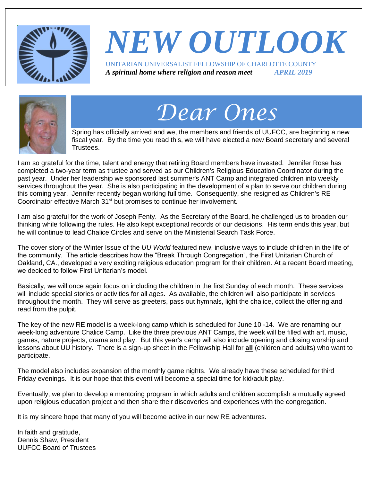

## *NEW OUTLOOK* UNITARIAN UNIVERSALIST FELLOWSHIP OF CHARLOTTE COUNTY *A spiritual home where religion and reason meet APRIL 2019*



# *Dear Ones*

Spring has officially arrived and we, the members and friends of UUFCC, are beginning a new fiscal year. By the time you read this, we will have elected a new Board secretary and several Trustees.

I am so grateful for the time, talent and energy that retiring Board members have invested. Jennifer Rose has completed a two-year term as trustee and served as our Children's Religious Education Coordinator during the past year. Under her leadership we sponsored last summer's ANT Camp and integrated children into weekly services throughout the year. She is also participating in the development of a plan to serve our children during this coming year. Jennifer recently began working full time. Consequently, she resigned as Children's RE Coordinator effective March 31<sup>st</sup> but promises to continue her involvement.

I am also grateful for the work of Joseph Fenty. As the Secretary of the Board, he challenged us to broaden our thinking while following the rules. He also kept exceptional records of our decisions. His term ends this year, but he will continue to lead Chalice Circles and serve on the Ministerial Search Task Force.

The cover story of the Winter Issue of the *UU World* featured new, inclusive ways to include children in the life of the community. The article describes how the "Break Through Congregation", the First Unitarian Church of Oakland, CA., developed a very exciting religious education program for their children. At a recent Board meeting, we decided to follow First Unitarian's model

Basically, we will once again focus on including the children in the first Sunday of each month. These services will include special stories or activities for all ages. As available, the children will also participate in services throughout the month. They will serve as greeters, pass out hymnals, light the chalice, collect the offering and read from the pulpit.

The key of the new RE model is a week-long camp which is scheduled for June 10 -14. We are renaming our week-long adventure Chalice Camp. Like the three previous ANT Camps, the week will be filled with art, music, games, nature projects, drama and play. But this year's camp will also include opening and closing worship and lessons about UU history. There is a sign-up sheet in the Fellowship Hall for **all** (children and adults) who want to participate.

The model also includes expansion of the monthly game nights. We already have these scheduled for third Friday evenings. It is our hope that this event will become a special time for kid/adult play.

Eventually, we plan to develop a mentoring program in which adults and children accomplish a mutually agreed upon religious education project and then share their discoveries and experiences with the congregation.

It is my sincere hope that many of you will become active in our new RE adventures.

In faith and gratitude, Dennis Shaw, President UUFCC Board of Trustees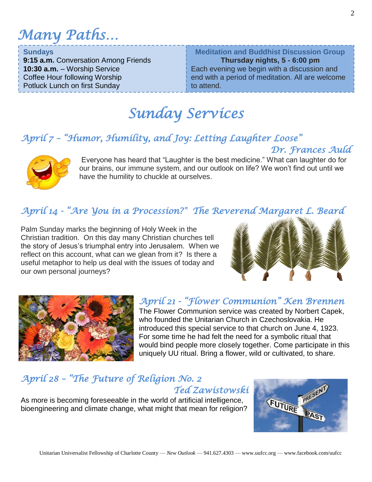*Many Paths…*

#### **Sundays**

**9:15 a.m.** Conversation Among Friends **10:30 a.m.** – Worship Service Coffee Hour following Worship Potluck Lunch on first Sunday

**Meditation and Buddhist Discussion Group Thursday nights, 5 - 6:00 pm** Each evening we begin with a discussion and end with a period of meditation. All are welcome to attend.

## *Sunday Services*

## *April 7 – "Humor, Humility, and Joy: Letting Laughter Loose" Dr. Frances Auld*



Everyone has heard that "Laughter is the best medicine." What can laughter do for our brains, our immune system, and our outlook on life? We won't find out until we have the humility to chuckle at ourselves.

## *April 14 - "Are You in a Procession?" The Reverend Margaret L. Beard*

Palm Sunday marks the beginning of Holy Week in the Christian tradition. On this day many Christian churches tell the story of Jesus's triumphal entry into Jerusalem. When we reflect on this account, what can we glean from it? Is there a useful metaphor to help us deal with the issues of today and our own personal journeys?





## *April 21 - "Flower Communion" Ken Brennen*

The Flower Communion service was created by Norbert Capek, who founded the Unitarian Church in Czechoslovakia. He introduced this special service to that church on June 4, 1923. For some time he had felt the need for a symbolic ritual that would bind people more closely together. Come participate in this uniquely UU ritual. Bring a flower, wild or cultivated, to share.

## *April 28 – "The Future of Religion No. 2 Ted Zawistowski*

As more is becoming foreseeable in the world of artificial intelligence, bioengineering and climate change, what might that mean for religion?

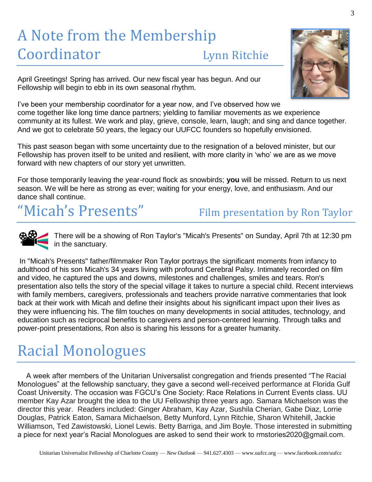# A Note from the Membership Coordinator Lynn Ritchie

April Greetings! Spring has arrived. Our new fiscal year has begun. And our Fellowship will begin to ebb in its own seasonal rhythm.

I've been your membership coordinator for a year now, and I've observed how we come together like long time dance partners; yielding to familiar movements as we experience community at its fullest. We work and play, grieve, console, learn, laugh; and sing and dance together. And we got to celebrate 50 years, the legacy our UUFCC founders so hopefully envisioned.

This past season began with some uncertainty due to the resignation of a beloved minister, but our Fellowship has proven itself to be united and resilient, with more clarity in 'who' we are as we move forward with new chapters of our story yet unwritten.

For those temporarily leaving the year-round flock as snowbirds; **you** will be missed. Return to us next season. We will be here as strong as ever; waiting for your energy, love, and enthusiasm. And our dance shall continue.

# "Micah's Presents" Film presentation by Ron Taylor

There will be a showing of Ron Taylor's "Micah's Presents" on Sunday, April 7th at 12:30 pm in the sanctuary.

In "Micah's Presents" father/filmmaker Ron Taylor portrays the significant moments from infancy to adulthood of his son Micah's 34 years living with profound Cerebral Palsy. Intimately recorded on film and video, he captured the ups and downs, milestones and challenges, smiles and tears. Ron's presentation also tells the story of the special village it takes to nurture a special child. Recent interviews with family members, caregivers, professionals and teachers provide narrative commentaries that look back at their work with Micah and define their insights about his significant impact upon their lives as they were influencing his. The film touches on many developments in social attitudes, technology, and education such as reciprocal benefits to caregivers and person-centered learning. Through talks and power-point presentations, Ron also is sharing his lessons for a greater humanity.

# Racial Monologues

A week after members of the Unitarian Universalist congregation and friends presented "The Racial Monologues" at the fellowship sanctuary, they gave a second well-received performance at Florida Gulf Coast University. The occasion was FGCU's One Society: Race Relations in Current Events class. UU member Kay Azar brought the idea to the UU Fellowship three years ago. Samara Michaelson was the director this year. Readers included: Ginger Abraham, Kay Azar, Sushila Cherian, Gabe Diaz, Lorrie Douglas, Patrick Eaton, Samara Michaelson, Betty Munford, Lynn Ritchie, Sharon Whitehill, Jackie Williamson, Ted Zawistowski, Lionel Lewis. Betty Barriga, and Jim Boyle. Those interested in submitting a piece for next year's Racial Monologues are asked to send their work to rmstories2020@gmail.com.

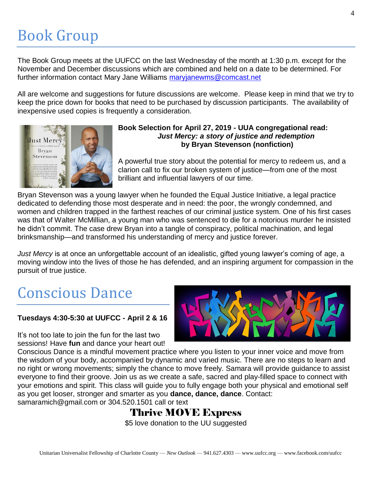# Book Group

The Book Group meets at the UUFCC on the last Wednesday of the month at 1:30 p.m. except for the November and December discussions which are combined and held on a date to be determined. For further information contact Mary Jane Williams [maryjanewms@comcast.net](mailto:maryjanewms@comcast.net)

All are welcome and suggestions for future discussions are welcome. Please keep in mind that we try to keep the price down for books that need to be purchased by discussion participants. The availability of inexpensive used copies is frequently a consideration.



#### **Book Selection for April 27, 2019 - UUA congregational read:**  *Just Mercy: a story of justice and redemption* **by Bryan Stevenson (nonfiction)**

A powerful true story about the potential for mercy to redeem us, and a clarion call to fix our broken system of justice—from one of the most brilliant and influential lawyers of our time.

Bryan Stevenson was a young lawyer when he founded the Equal Justice Initiative, a legal practice dedicated to defending those most desperate and in need: the poor, the wrongly condemned, and women and children trapped in the farthest reaches of our criminal justice system. One of his first cases was that of Walter McMillian, a young man who was sentenced to die for a notorious murder he insisted he didn't commit. The case drew Bryan into a tangle of conspiracy, political machination, and legal brinksmanship—and transformed his understanding of mercy and justice forever.

*Just Mercy* is at once an unforgettable account of an idealistic, gifted young lawyer's coming of age, a moving window into the lives of those he has defended, and an inspiring argument for compassion in the pursuit of true justice.

# Conscious Dance

### **Tuesdays 4:30-5:30 at UUFCC - April 2 & 16**

It's not too late to join the fun for the last two sessions! Have **fun** and dance your heart out!



Conscious Dance is a mindful movement practice where you listen to your inner voice and move from the wisdom of your body, accompanied by dynamic and varied music. There are no steps to learn and no right or wrong movements; simply the chance to move freely. Samara will provide guidance to assist everyone to find their groove. Join us as we create a safe, sacred and play-filled space to connect with your emotions and spirit. This class will guide you to fully engage both your physical and emotional self as you get looser, stronger and smarter as you **dance, dance, dance**. Contact:

samaramich@gmail.com or 304.520.1501 call or text

## Thrive MOVE Express

\$5 love donation to the UU suggested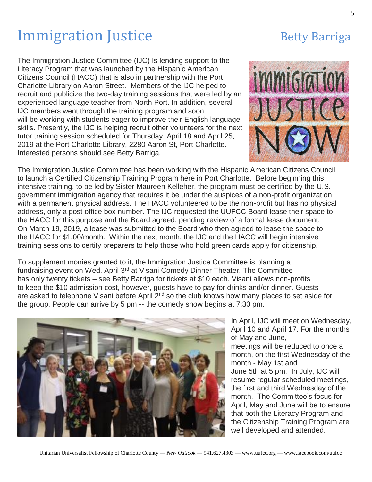# **Immigration Justice Betty Barriga**

The Immigration Justice Committee (IJC) Is lending support to the Literacy Program that was launched by the Hispanic American Citizens Council (HACC) that is also in partnership with the Port Charlotte Library on Aaron Street. Members of the IJC helped to recruit and publicize the two-day training sessions that were led by an experienced language teacher from North Port. In addition, several IJC members went through the training program and soon will be working with students eager to improve their English language skills. Presently, the IJC is helping recruit other volunteers for the next tutor training session scheduled for Thursday, April 18 and April 25, 2019 at the Port Charlotte Library, 2280 Aaron St, Port Charlotte. Interested persons should see Betty Barriga.



The Immigration Justice Committee has been working with the Hispanic American Citizens Council to launch a Certified Citizenship Training Program here in Port Charlotte. Before beginning this intensive training, to be led by Sister Maureen Kelleher, the program must be certified by the U.S. government immigration agency that requires it be under the auspices of a non-profit organization with a permanent physical address. The HACC volunteered to be the non-profit but has no physical address, only a post office box number. The IJC requested the UUFCC Board lease their space to the HACC for this purpose and the Board agreed, pending review of a formal lease document. On March 19, 2019, a lease was submitted to the Board who then agreed to lease the space to the HACC for \$1.00/month. Within the next month, the IJC and the HACC will begin intensive training sessions to certify preparers to help those who hold green cards apply for citizenship.

To supplement monies granted to it, the Immigration Justice Committee is planning a fundraising event on Wed. April 3<sup>rd</sup> at Visani Comedy Dinner Theater. The Committee has only twenty tickets – see Betty Barriga for tickets at \$10 each. Visani allows non-profits to keep the \$10 admission cost, however, guests have to pay for drinks and/or dinner. Guests are asked to telephone Visani before April 2<sup>nd</sup> so the club knows how many places to set aside for the group. People can arrive by 5 pm -- the comedy show begins at 7:30 pm.



In April, IJC will meet on Wednesday, April 10 and April 17. For the months of May and June, meetings will be reduced to once a month, on the first Wednesday of the month - May 1st and June 5th at 5 pm. In July, IJC will resume regular scheduled meetings, the first and third Wednesday of the month. The Committee's focus for April, May and June will be to ensure that both the Literacy Program and the Citizenship Training Program are well developed and attended.